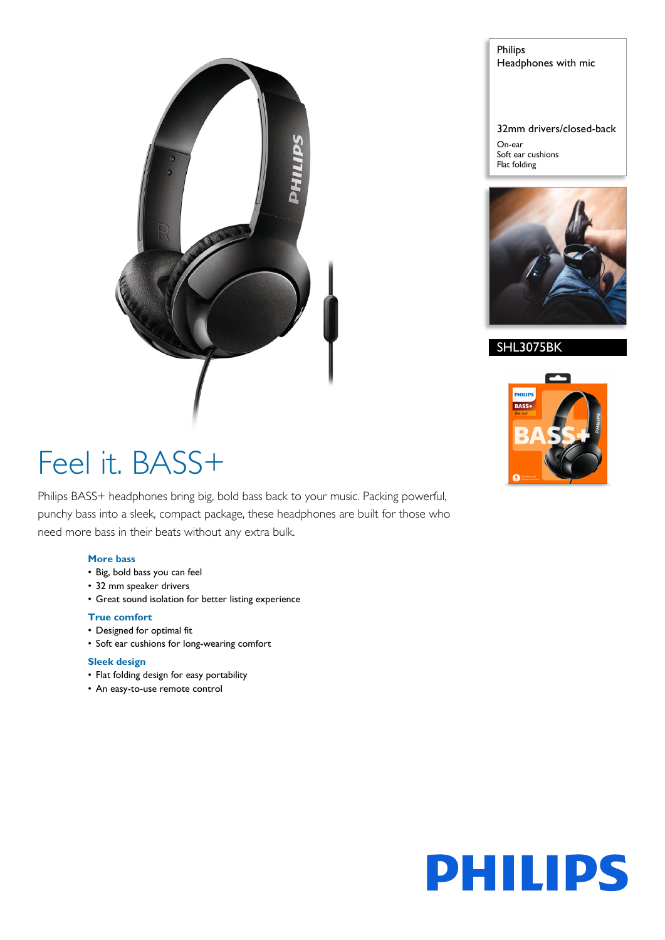

Philips Headphones with mic

32mm drivers/closed-back

On-ear Soft ear cushions Flat folding



SHL3075BK



# Feel it. BASS+

Philips BASS+ headphones bring big, bold bass back to your music. Packing powerful, punchy bass into a sleek, compact package, these headphones are built for those who need more bass in their beats without any extra bulk.

# **More bass**

- Big, bold bass you can feel
- 32 mm speaker drivers
- Great sound isolation for better listing experience

# **True comfort**

- Designed for optimal fit
- Soft ear cushions for long-wearing comfort

## **Sleek design**

- Flat folding design for easy portability
- An easy-to-use remote control

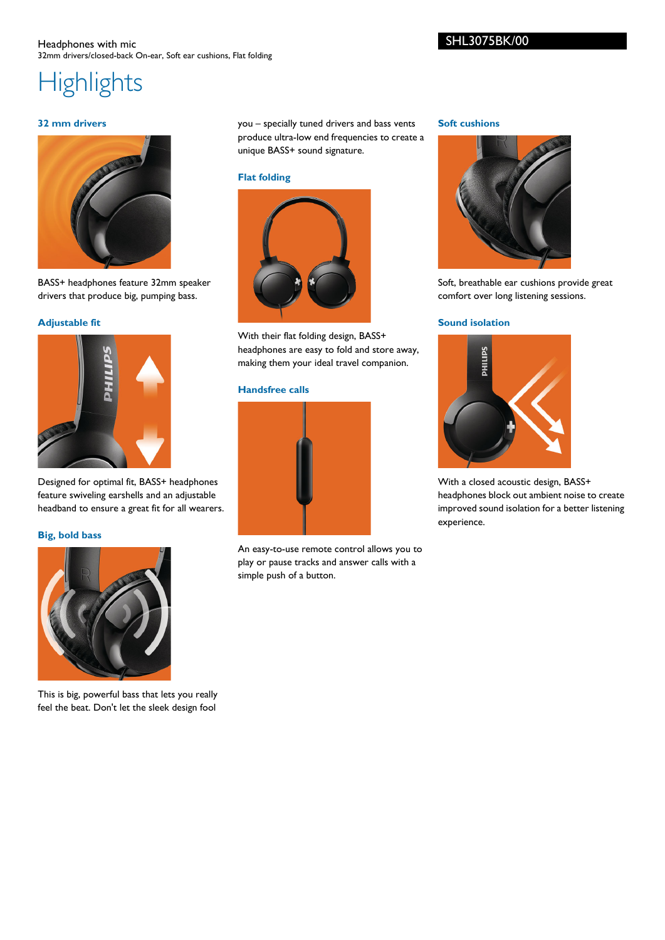## Headphones with mic 32mm drivers/closed-back On-ear, Soft ear cushions, Flat folding

**Highlights** 

# **32 mm drivers**



BASS+ headphones feature 32mm speaker drivers that produce big, pumping bass.

# **Adjustable fit**



Designed for optimal fit, BASS+ headphones feature swiveling earshells and an adjustable headband to ensure a great fit for all wearers.

## **Big, bold bass**



This is big, powerful bass that lets you really feel the beat. Don't let the sleek design fool you – specially tuned drivers and bass vents produce ultra-low end frequencies to create a unique BASS+ sound signature.

#### **Flat folding**



With their flat folding design, BASS+ headphones are easy to fold and store away, making them your ideal travel companion.

# **Handsfree calls**



An easy-to-use remote control allows you to play or pause tracks and answer calls with a simple push of a button.

#### **Soft cushions**



Soft, breathable ear cushions provide great comfort over long listening sessions.

## **Sound isolation**



With a closed acoustic design, BASS+ headphones block out ambient noise to create improved sound isolation for a better listening experience.